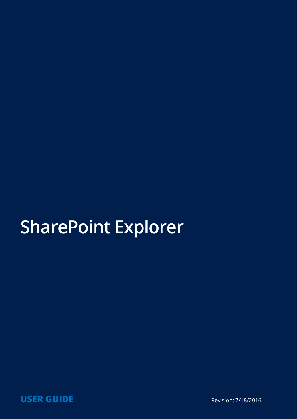# **SharePoint Explorer**

**USER GUIDE Revision: 7/18/2016**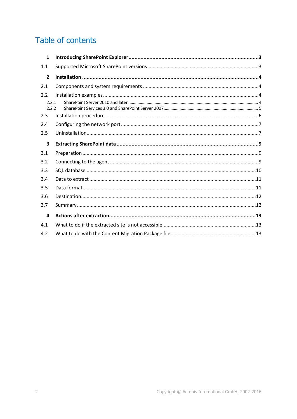### Table of contents

| $\mathbf{1}$   |  |  |  |
|----------------|--|--|--|
| 1.1            |  |  |  |
| $\overline{2}$ |  |  |  |
| 2.1            |  |  |  |
| 2.2            |  |  |  |
| 2.2.1          |  |  |  |
| 2.2.2          |  |  |  |
| 2.3            |  |  |  |
| 2.4            |  |  |  |
| 2.5            |  |  |  |
| 3              |  |  |  |
|                |  |  |  |
| 3.1            |  |  |  |
| 3.2            |  |  |  |
| 3.3            |  |  |  |
| 3.4            |  |  |  |
| 3.5            |  |  |  |
| 3.6            |  |  |  |
| 3.7            |  |  |  |
| 4              |  |  |  |
| 4.1            |  |  |  |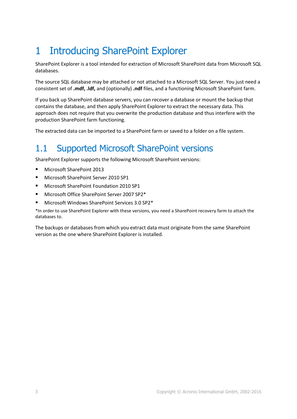# <span id="page-2-0"></span>1 Introducing SharePoint Explorer

SharePoint Explorer is a tool intended for extraction of Microsoft SharePoint data from Microsoft SQL databases.

The source SQL database may be attached or not attached to a Microsoft SQL Server. You just need a consistent set of **.mdf, .ldf,** and (optionally) **.ndf** files, and a functioning Microsoft SharePoint farm.

If you back up SharePoint database servers, you can recover a database or mount the backup that contains the database, and then apply SharePoint Explorer to extract the necessary data. This approach does not require that you overwrite the production database and thus interfere with the production SharePoint farm functioning.

The extracted data can be imported to a SharePoint farm or saved to a folder on a file system.

### <span id="page-2-1"></span>1.1 Supported Microsoft SharePoint versions

SharePoint Explorer supports the following Microsoft SharePoint versions:

- Microsoft SharePoint 2013
- Microsoft SharePoint Server 2010 SP1
- Microsoft SharePoint Foundation 2010 SP1
- Microsoft Office SharePoint Server 2007 SP2\*
- Microsoft Windows SharePoint Services 3.0 SP2\*

\*In order to use SharePoint Explorer with these versions, you need a SharePoint recovery farm to attach the databases to.

The backups or databases from which you extract data must originate from the same SharePoint version as the one where SharePoint Explorer is installed.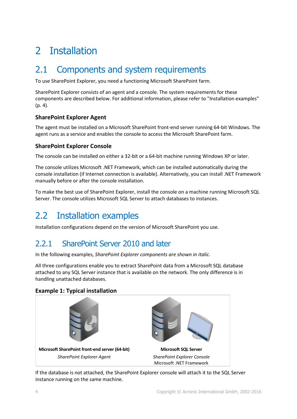# <span id="page-3-0"></span>2 Installation

### <span id="page-3-1"></span>2.1 Components and system requirements

To use SharePoint Explorer, you need a functioning Microsoft SharePoint farm.

SharePoint Explorer consists of an agent and a console. The system requirements for these components are described below. For additional information, please refer to "Installation examples" (p. [4\)](#page-3-2).

### **SharePoint Explorer Agent**

The agent must be installed on a Microsoft SharePoint front-end server running 64-bit Windows. The agent runs as a service and enables the console to access the Microsoft SharePoint farm.

#### **SharePoint Explorer Console**

The console can be installed on either a 32-bit or a 64-bit machine running Windows XP or later.

The console utilizes Microsoft .NET Framework, which can be installed automatically during the console installation (if Internet connection is available). Alternatively, you can install .NET Framework manually before or after the console installation.

To make the best use of SharePoint Explorer, install the console on a machine running Microsoft SQL Server. The console utilizes Microsoft SQL Server to attach databases to instances.

### <span id="page-3-2"></span>2.2 Installation examples

Installation configurations depend on the version of Microsoft SharePoint you use.

### <span id="page-3-3"></span>2.2.1 SharePoint Server 2010 and later

In the following examples, *SharePoint Explorer components are shown in italic.*

All three configurations enable you to extract SharePoint data from a Microsoft SQL database attached to any SQL Server instance that is available on the network. The only difference is in handling unattached databases.

### **Example 1: Typical installation**



If the database is not attached, the SharePoint Explorer console will attach it to the SQL Server instance running on the same machine.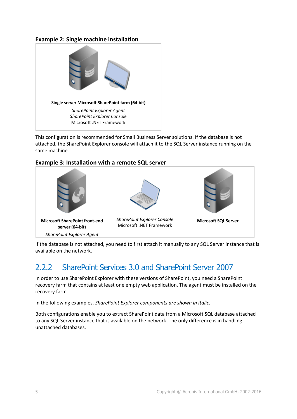### **Example 2: Single machine installation**



This configuration is recommended for Small Business Server solutions. If the database is not attached, the SharePoint Explorer console will attach it to the SQL Server instance running on the same machine.





If the database is not attached, you need to first attach it manually to any SQL Server instance that is available on the network.

### <span id="page-4-0"></span>2.2.2 SharePoint Services 3.0 and SharePoint Server 2007

In order to use SharePoint Explorer with these versions of SharePoint, you need a SharePoint recovery farm that contains at least one empty web application. The agent must be installed on the recovery farm.

In the following examples, *SharePoint Explorer components are shown in italic.*

Both configurations enable you to extract SharePoint data from a Microsoft SQL database attached to any SQL Server instance that is available on the network. The only difference is in handling unattached databases.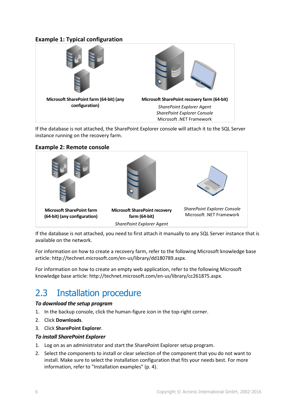### **Example 1: Typical configuration**



If the database is not attached, the SharePoint Explorer console will attach it to the SQL Server instance running on the recovery farm.

### **Example 2: Remote console**



If the database is not attached, you need to first attach it manually to any SQL Server instance that is available on the network.

For information on how to create a recovery farm, refer to the following Microsoft knowledge base article: http://technet.microsoft.com/en-us/library/dd180789.aspx.

For information on how to create an empty web application, refer to the following Microsoft knowledge base article: http://technet.microsoft.com/en-us/library/cc261875.aspx.

### <span id="page-5-0"></span>2.3 Installation procedure

#### *To download the setup program*

- 1. In the backup console, click the human-figure icon in the top-right corner.
- 2. Click **Downloads**.
- 3. Click **SharePoint Explorer**.

#### *To install SharePoint Explorer*

- 1. Log on as an administrator and start the SharePoint Explorer setup program.
- 2. Select the components to install or clear selection of the component that you do not want to install. Make sure to select the installation configuration that fits your needs best. For more information, refer to "Installation examples" (p. [4\)](#page-3-2).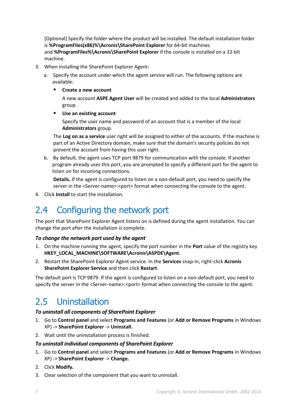[Optional] Specify the folder where the product will be installed. The default installation folder is **%ProgramFiles(x86)%\Acronis\SharePoint Explorer** for 64-bit machines and **%ProgramFiles%\Acronis\SharePoint Explorer** if the console is installed on a 32-bit machine.

- 3. When installing the SharePoint Explorer Agent:
	- a. Specify the account under which the agent service will run. The following options are available:
		- **Create a new account**

A new account **ASPE Agent User** will be created and added to the local **Administrators** group.

**Use an existing account**

Specify the user name and password of an account that is a member of the local **Administrators** group.

The **Log on as a service** user right will be assigned to either of the accounts. If the machine is part of an Active Directory domain, make sure that the domain's security policies do not prevent the account from having this user right.

b. By default, the agent uses TCP port 9879 for communication with the console. If another program already uses this port, you are prompted to specify a different port for the agent to listen on for incoming connections.

**Details.** If the agent is configured to listen on a non-default port, you need to specify the server in the <Server-name>:<port> format when connecting the console to the agent.

4. Click **Install** to start the installation.

### <span id="page-6-0"></span>2.4 Configuring the network port

The port that SharePoint Explorer Agent listens on is defined during the agent installation. You can change the port after the installation is complete.

#### *To change the network port used by the agent*

- 1. On the machine running the agent, specify the port number in the **Port** value of the registry key **HKEY\_LOCAL\_MACHINE\SOFTWARE\Acronis\ASPDE\Agent**.
- 2. Restart the SharePoint Explorer Agent service. In the **Services** snap-in, right-click **Acronis SharePoint Explorer Service** and then click **Restart**.

The default port is TCP 9879. If the agent is configured to listen on a non-default port, you need to specify the server in the <Server-name>:<port> format when connecting the console to the agent.

### <span id="page-6-1"></span>2.5 Uninstallation

#### *To uninstall all components of SharePoint Explorer*

- 1. Go to **Control panel** and select **Programs and Features** (or **Add or Remove Programs** in Windows XP) -> **SharePoint Explorer** -> **Uninstall.**
- 2. Wait until the uninstallation process is finished.

#### *To uninstall individual components of SharePoint Explorer*

- 1. Go to **Control panel** and select **Programs and Features** (or **Add or Remove Programs** in Windows XP) -> **SharePoint Explorer** -> **Change.**
- 2. Click **Modify.**
- 3. Clear selection of the component that you want to uninstall.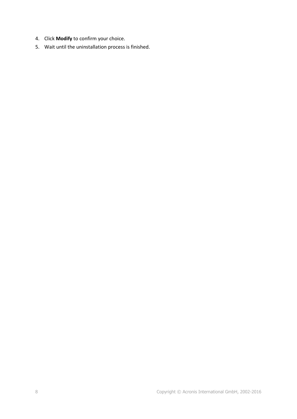- 4. Click **Modify** to confirm your choice.
- 5. Wait until the uninstallation process is finished.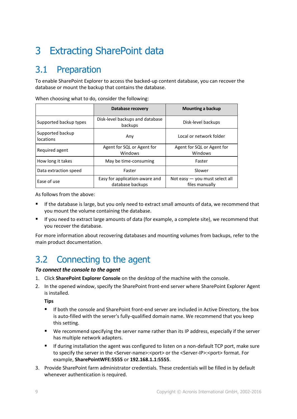# <span id="page-8-0"></span>3 Extracting SharePoint data

### <span id="page-8-1"></span>3.1 Preparation

To enable SharePoint Explorer to access the backed-up content database, you can recover the database or mount the backup that contains the database.

|                               | Database recovery                                  | Mounting a backup                                  |  |
|-------------------------------|----------------------------------------------------|----------------------------------------------------|--|
| Supported backup types        | Disk-level backups and database<br>backups         | Disk-level backups                                 |  |
| Supported backup<br>locations | Any                                                | Local or network folder                            |  |
| Required agent                | Agent for SQL or Agent for<br>Windows              | Agent for SQL or Agent for<br>Windows              |  |
| How long it takes             | May be time-consuming                              | Faster                                             |  |
| Data extraction speed         | Faster                                             | Slower                                             |  |
| Ease of use                   | Easy for application-aware and<br>database backups | Not easy $-$ you must select all<br>files manually |  |

When choosing what to do, consider the following:

As follows from the above:

- If the database is large, but you only need to extract small amounts of data, we recommend that you mount the volume containing the database.
- If you need to extract large amounts of data (for example, a complete site), we recommend that you recover the database.

For more information about recovering databases and mounting volumes from backups, refer to the main product documentation.

### <span id="page-8-2"></span>3.2 Connecting to the agent

#### *To connect the console to the agent*

- 1. Click **SharePoint Explorer Console** on the desktop of the machine with the console.
- 2. In the opened window, specify the SharePoint front-end server where SharePoint Explorer Agent is installed.

**Tips**

- If both the console and SharePoint front-end server are included in Active Directory, the box is auto-filled with the server's fully-qualified domain name. We recommend that you keep this setting.
- We recommend specifying the server name rather than its IP address, especially if the server has multiple network adapters.
- If during installation the agent was configured to listen on a non-default TCP port, make sure to specify the server in the <Server-name>:<port> or the <Server-IP>:<port> format. For example, **SharePointWFE:5555** or **192.168.1.1:5555**.
- 3. Provide SharePoint farm administrator credentials. These credentials will be filled in by default whenever authentication is required.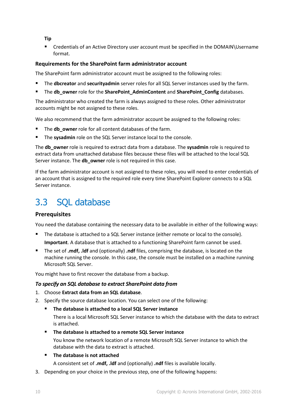**Tip**

 Credentials of an Active Directory user account must be specified in the DOMAIN\Username format.

#### **Requirements for the SharePoint farm administrator account**

The SharePoint farm administrator account must be assigned to the following roles:

- The **dbcreator** and **securityadmin** server roles for all SQL Server instances used by the farm.
- The **db\_owner** role for the **SharePoint\_AdminContent** and **SharePoint\_Config** databases.

The administrator who created the farm is always assigned to these roles. Other administrator accounts might be not assigned to these roles.

We also recommend that the farm administrator account be assigned to the following roles:

- The **db** owner role for all content databases of the farm.
- The **sysadmin** role on the SQL Server instance local to the console.

The **db\_owner** role is required to extract data from a database. The **sysadmin** role is required to extract data from unattached database files because these files will be attached to the local SQL Server instance. The **db\_owner** role is not required in this case.

If the farm administrator account is not assigned to these roles, you will need to enter credentials of an account that is assigned to the required role every time SharePoint Explorer connects to a SQL Server instance.

### <span id="page-9-0"></span>3.3 SQL database

### **Prerequisites**

You need the database containing the necessary data to be available in either of the following ways:

- The database is attached to a SQL Server instance (either remote or local to the console). **Important**. A database that is attached to a functioning SharePoint farm cannot be used.
- The set of **.mdf, .ldf** and (optionally) **.ndf** files, comprising the database, is located on the machine running the console. In this case, the console must be installed on a machine running Microsoft SQL Server.

You might have to first recover the database from a backup.

#### *To specify an SQL database to extract SharePoint data from*

- 1. Choose **Extract data from an SQL database**.
- 2. Specify the source database location. You can select one of the following:
	- **The database is attached to a local SQL Server instance**

There is a local Microsoft SQL Server instance to which the database with the data to extract is attached.

**The database is attached to a remote SQL Server instance**

You know the network location of a remote Microsoft SQL Server instance to which the database with the data to extract is attached.

**The database is not attached** 

A consistent set of **.mdf, .ldf** and (optionally) **.ndf** files is available locally.

3. Depending on your choice in the previous step, one of the following happens: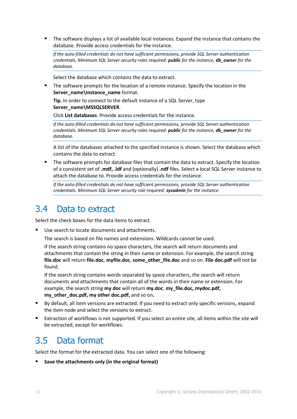The software displays a list of available local instances. Expand the instance that contains the database. Provide access credentials for the instance.

*If the auto-filled credentials do not have sufficient permissions, provide SQL Server authentication credentials. Minimum SQL Server security roles required: public for the instance, db\_owner for the database.*

Select the database which contains the data to extract.

The software prompts for the location of a remote instance. Specify the location in the **Server\_name\Instance\_name** format.

**Tip.** In order to connect to the default instance of a SQL Server, type **Server\_name\MSSQLSERVER**.

Click **List databases**. Provide access credentials for the instance.

*If the auto-filled credentials do not have sufficient permissions, provide SQL Server authentication credentials. Minimum SQL Server security roles required: public for the instance, db\_owner for the database.*

A list of the databases attached to the specified instance is shown. Select the database which contains the data to extract.

 The software prompts for database files that contain the data to extract. Specify the location of a consistent set of **.mdf, .ldf** and (optionally) **.ndf** files. Select a local SQL Server instance to attach the database to. Provide access credentials for the instance.

*If the auto-filled credentials do not have sufficient permissions, provide SQL Server authentication credentials. Minimum SQL Server security role required: sysadmin for the instance.*

### <span id="page-10-0"></span>3.4 Data to extract

Select the check boxes for the data items to extract.

Use search to locate documents and attachments.

The search is based on file names and extensions. Wildcards cannot be used.

If the search string contains no space characters, the search will return documents and attachments that contain the string in their name or extension. For example, the search string **file.doc** will return **file.doc**, **myfile.doc**, **some\_other\_file.doc** and so on. **File doc.pdf** will not be found.

If the search string contains words separated by space characters, the search will return documents and attachments that contain all of the words in their name or extension. For example, the search string **my doc** will return **my.doc**, **my\_file.doc, mydoc.pdf, my\_other\_doc.pdf, my other doc.pdf,** and so on**.**

- By default, all item versions are extracted. If you need to extract only specific versions, expand the item node and select the versions to extract.
- Extraction of workflows is not supported. If you select an entire site, all items within the site will be extracted, except for workflows.

### <span id="page-10-1"></span>3.5 Data format

Select the format for the extracted data. You can select one of the following:

**Save the attachments only (in the original format)**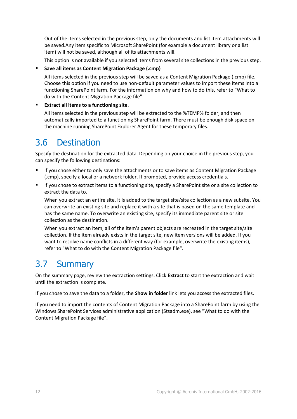Out of the items selected in the previous step, only the documents and list item attachments will be saved.Any item specific to Microsoft SharePoint (for example a document library or a list item) will not be saved, although all of its attachments will.

This option is not available if you selected items from several site collections in the previous step.

#### **Save all items as Content Migration Package (.cmp)**

All items selected in the previous step will be saved as a Content Migration Package (.cmp) file. Choose this option if you need to use non-default parameter values to import these items into a functioning SharePoint farm. For the information on why and how to do this, refer to "What to do with the Content Migration Package file".

#### **Extract all items to a functioning site**.

All items selected in the previous step will be extracted to the %TEMP% folder, and then automatically imported to a functioning SharePoint farm. There must be enough disk space on the machine running SharePoint Explorer Agent for these temporary files.

### <span id="page-11-0"></span>3.6 Destination

Specify the destination for the extracted data. Depending on your choice in the previous step, you can specify the following destinations:

- If you chose either to only save the attachments or to save items as Content Migration Package (.cmp), specify a local or a network folder. If prompted, provide access credentials.
- If you chose to extract items to a functioning site, specify a SharePoint site or a site collection to extract the data to.

When you extract an entire site, it is added to the target site/site collection as a new subsite. You can overwrite an existing site and replace it with a site that is based on the same template and has the same name. To overwrite an existing site, specify its immediate parent site or site collection as the destination.

When you extract an item, all of the item's parent objects are recreated in the target site/site collection. If the item already exists in the target site, new item versions will be added. If you want to resolve name conflicts in a different way (for example, overwrite the existing items), refer to "What to do with the Content Migration Package file".

### <span id="page-11-1"></span>3.7 Summary

On the summary page, review the extraction settings. Click **Extract** to start the extraction and wait until the extraction is complete.

If you chose to save the data to a folder, the **Show in folder** link lets you access the extracted files.

If you need to import the contents of Content Migration Package into a SharePoint farm by using the Windows SharePoint Services administrative application (Stsadm.exe), see "What to do with the Content Migration Package file".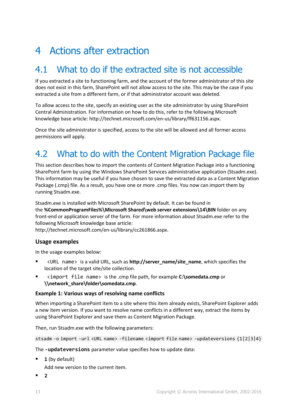## <span id="page-12-0"></span>4 Actions after extraction

### <span id="page-12-1"></span>4.1 What to do if the extracted site is not accessible

If you extracted a site to functioning farm, and the account of the former administrator of this site does not exist in this farm, SharePoint will not allow access to the site. This may be the case if you extracted a site from a different farm, or if that administrator account was deleted.

To allow access to the site, specify an existing user as the site administrator by using SharePoint Central Administration. For information on how to do this, refer to the following Microsoft knowledge base article: http://technet.microsoft.com/en-us/library/ff631156.aspx.

Once the site administrator is specified, access to the site will be allowed and all former access permissions will apply.

### <span id="page-12-2"></span>4.2 What to do with the Content Migration Package file

This section describes how to import the contents of Content Migration Package into a functioning SharePoint farm by using the Windows SharePoint Services administrative application (Stsadm.exe). This information may be useful if you have chosen to save the extracted data as a Content Migration Package (.cmp) file. As a result, you have one or more .cmp files. You now can import them by running Stsadm.exe.

Stsadm.exe is installed with Microsoft SharePoint by default. It can be found in the **%CommonProgramFiles%\Microsoft Shared\web server extensions\14\BIN** folder on any front-end or application server of the farm. For more information about Stsadm.exe refer to the following Microsoft knowledge base article:

http://technet.microsoft.com/en-us/library/cc261866.aspx.

#### **Usage examples**

In the usage examples below:

- <URL name> is a valid URL, such as **http://server\_name/site\_name**, which specifies the location of the target site/site collection.
- <import file name> is the .cmp file path, for example **C:\somedata.cmp** or **\\network\_share\folder\somedata.cmp**.

#### **Example 1: Various ways of resolving name conflicts**

When importing a SharePoint item to a site where this item already exists, SharePoint Explorer adds a new item version. If you want to resolve name conflicts in a different way, extract the items by using SharePoint Explorer and save them as Content Migration Package.

Then, run Stsadm.exe with the following parameters:

```
stsadm -o import -url <URL name> -filename <import file name> -updateversions {1|2|3|4}
```
The **-updateversions** parameter value specifies how to update data:

**1** (by default)

Add new version to the current item.

**2**